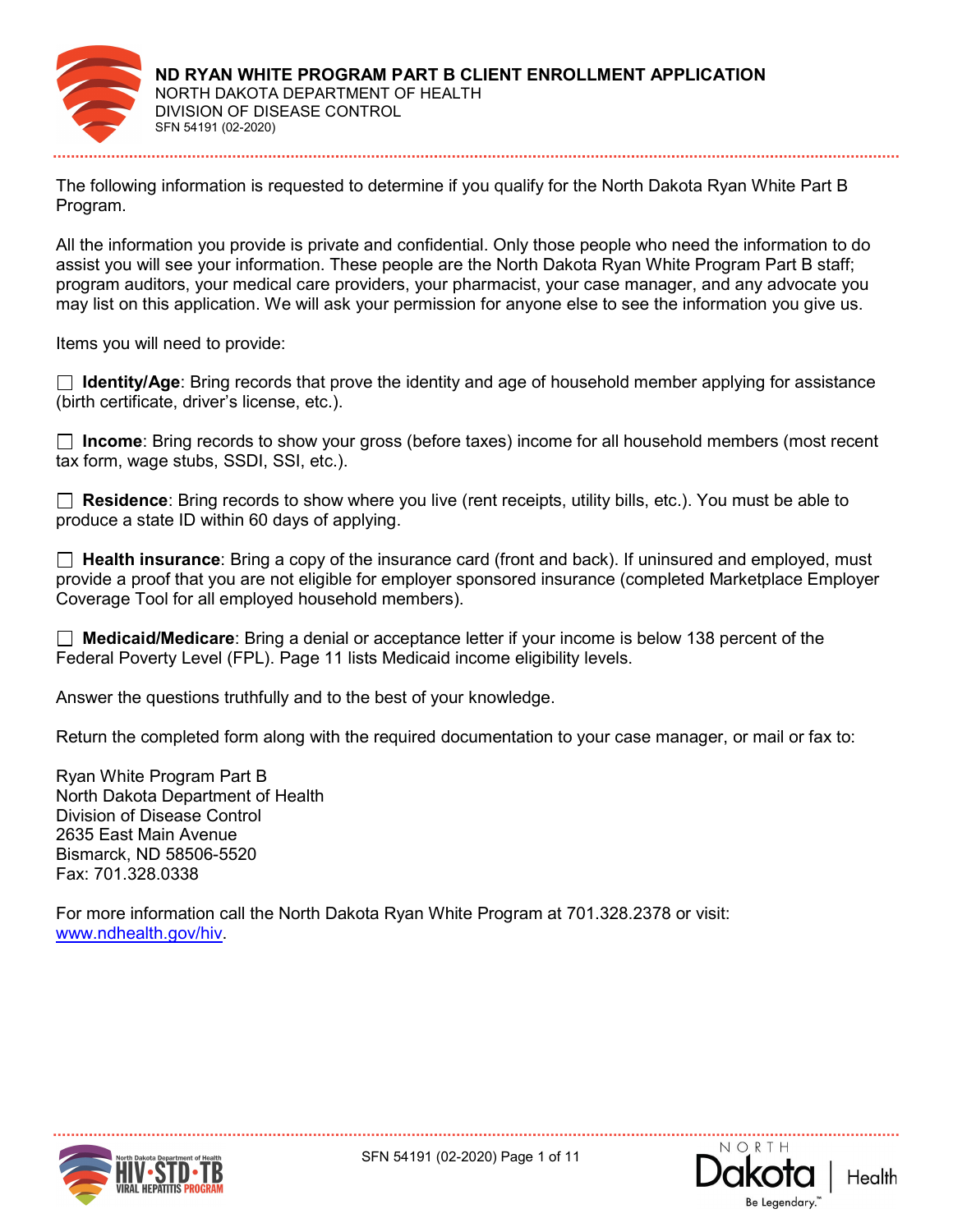

The following information is requested to determine if you qualify for the North Dakota Ryan White Part B Program.

All the information you provide is private and confidential. Only those people who need the information to do assist you will see your information. These people are the North Dakota Ryan White Program Part B staff; program auditors, your medical care providers, your pharmacist, your case manager, and any advocate you may list on this application. We will ask your permission for anyone else to see the information you give us.

Items you will need to provide:

 $\Box$  Identity/Age: Bring records that prove the identity and age of household member applying for assistance (birth certificate, driver's license, etc.).

 $\Box$  Income: Bring records to show your gross (before taxes) income for all household members (most recent tax form, wage stubs, SSDI, SSI, etc.).

 $\Box$  Residence: Bring records to show where you live (rent receipts, utility bills, etc.). You must be able to produce a state ID within 60 days of applying.

 $\Box$  Health insurance: Bring a copy of the insurance card (front and back). If uninsured and employed, must provide a proof that you are not eligible for employer sponsored insurance (completed Marketplace Employer Coverage Tool for all employed household members).

□ Medicaid/Medicare: Bring a denial or acceptance letter if your income is below 138 percent of the Federal Poverty Level (FPL). Page 11 lists Medicaid income eligibility levels.

Answer the questions truthfully and to the best of your knowledge.

Return the completed form along with the required documentation to your case manager, or mail or fax to:

Ryan White Program Part B North Dakota Department of Health Division of Disease Control 2635 East Main Avenue Bismarck, ND 58506-5520 Fax: 701.328.0338

For more information call the North Dakota Ryan White Program at 701.328.2378 or visit: www.ndhealth.gov/hiv.



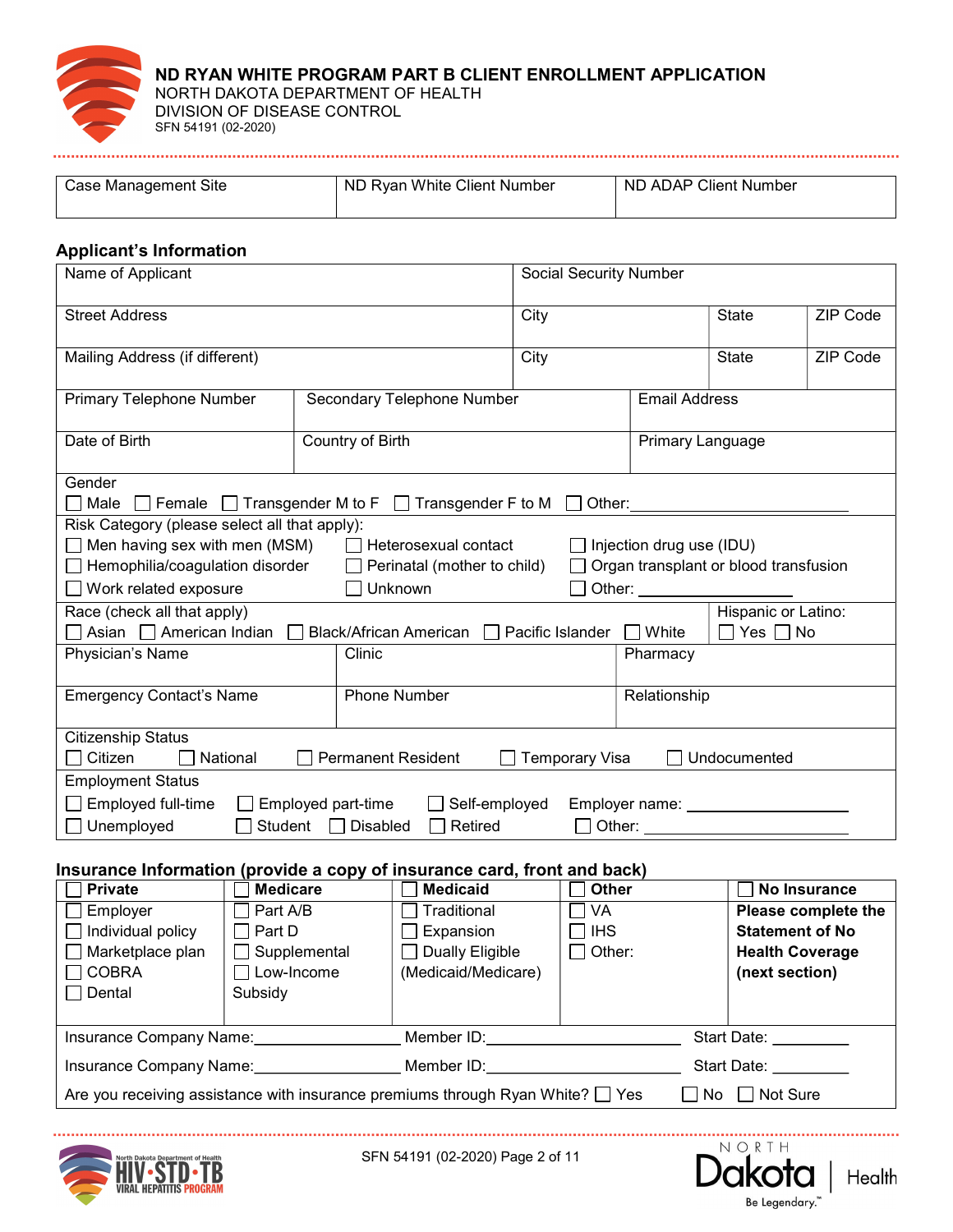

| Management Site<br>∴ase | : Client Number<br>White<br>ND.<br>Rvan | ND ADAP Client Number |
|-------------------------|-----------------------------------------|-----------------------|
|                         |                                         |                       |
|                         |                                         |                       |
|                         |                                         |                       |

# Applicant's Information

| Name of Applicant                                                                                                                                                                                                                                                                                                |                 |                                     | <b>Social Security Number</b> |       |                      |                  |                 |                        |
|------------------------------------------------------------------------------------------------------------------------------------------------------------------------------------------------------------------------------------------------------------------------------------------------------------------|-----------------|-------------------------------------|-------------------------------|-------|----------------------|------------------|-----------------|------------------------|
| <b>Street Address</b>                                                                                                                                                                                                                                                                                            |                 | City                                |                               | State | ZIP Code             |                  |                 |                        |
| Mailing Address (if different)                                                                                                                                                                                                                                                                                   |                 |                                     |                               | City  |                      | <b>State</b>     | <b>ZIP Code</b> |                        |
| <b>Primary Telephone Number</b>                                                                                                                                                                                                                                                                                  |                 |                                     | Secondary Telephone Number    |       | <b>Email Address</b> |                  |                 |                        |
| Date of Birth                                                                                                                                                                                                                                                                                                    |                 | Country of Birth                    |                               |       |                      | Primary Language |                 |                        |
| Gender<br>$\Box$ Male $\Box$ Female $\Box$ Transgender M to F                                                                                                                                                                                                                                                    |                 |                                     | Transgender F to M            |       | Other:               |                  |                 |                        |
| Risk Category (please select all that apply):<br>$\Box$ Men having sex with men (MSM)<br>Heterosexual contact<br>Injection drug use (IDU)<br>$\Box$ Hemophilia/coagulation disorder<br>Perinatal (mother to child)<br>Organ transplant or blood transfusion<br>$\Box$ Work related exposure<br>Unknown<br>Other: |                 |                                     |                               |       |                      |                  |                 |                        |
| Hispanic or Latino:<br>Race (check all that apply)<br>Asian   American Indian<br><b>Black/African American</b><br>Pacific Islander<br>$\Box$ White<br>Yes $\Box$ No<br>Physician's Name<br>Clinic<br>Pharmacy                                                                                                    |                 |                                     |                               |       |                      |                  |                 |                        |
| <b>Emergency Contact's Name</b>                                                                                                                                                                                                                                                                                  |                 | Relationship<br><b>Phone Number</b> |                               |       |                      |                  |                 |                        |
| <b>Citizenship Status</b><br>Citizen<br>National<br><b>Permanent Resident</b><br><b>Temporary Visa</b><br>Undocumented                                                                                                                                                                                           |                 |                                     |                               |       |                      |                  |                 |                        |
| <b>Employment Status</b><br>Employed full-time<br>Self-employed<br>$\Box$ Employed part-time<br>Employer name: Name and Senator Management of the Employer name:<br>Unemployed<br>Student<br><b>Disabled</b><br>Retired<br>$\sqsupset$ Other: $\sqsubseteq$                                                      |                 |                                     |                               |       |                      |                  |                 |                        |
| Insurance Information (provide a copy of insurance card, front and back)                                                                                                                                                                                                                                         |                 |                                     |                               |       |                      |                  |                 |                        |
| <b>Private</b>                                                                                                                                                                                                                                                                                                   | <b>Medicare</b> |                                     | <b>Medicaid</b>               |       | <b>Other</b>         |                  |                 | <b>No Insurance</b>    |
| Employer                                                                                                                                                                                                                                                                                                         | Part A/B        |                                     | Traditional                   |       | <b>VA</b>            |                  |                 | Please complete the    |
| Individual policy                                                                                                                                                                                                                                                                                                | Part D          |                                     | Expansion                     |       | <b>IHS</b>           |                  |                 | <b>Statement of No</b> |
| Marketplace plan                                                                                                                                                                                                                                                                                                 | Supplemental    |                                     | <b>Dually Eligible</b>        |       | Other:               |                  |                 | <b>Health Coverage</b> |
| <b>COBRA</b>                                                                                                                                                                                                                                                                                                     | Low-Income      |                                     | (Medicaid/Medicare)           |       |                      |                  | (next section)  |                        |

| Dental                                                                              | Subsidy        |            |             |  |
|-------------------------------------------------------------------------------------|----------------|------------|-------------|--|
| Insurance Company Name:                                                             |                | Member ID: | Start Date: |  |
| Insurance Company Name:                                                             |                | Member ID: | Start Date: |  |
| Are you receiving assistance with insurance premiums through Ryan White? $\Box$ Yes | No<br>Not Sure |            |             |  |



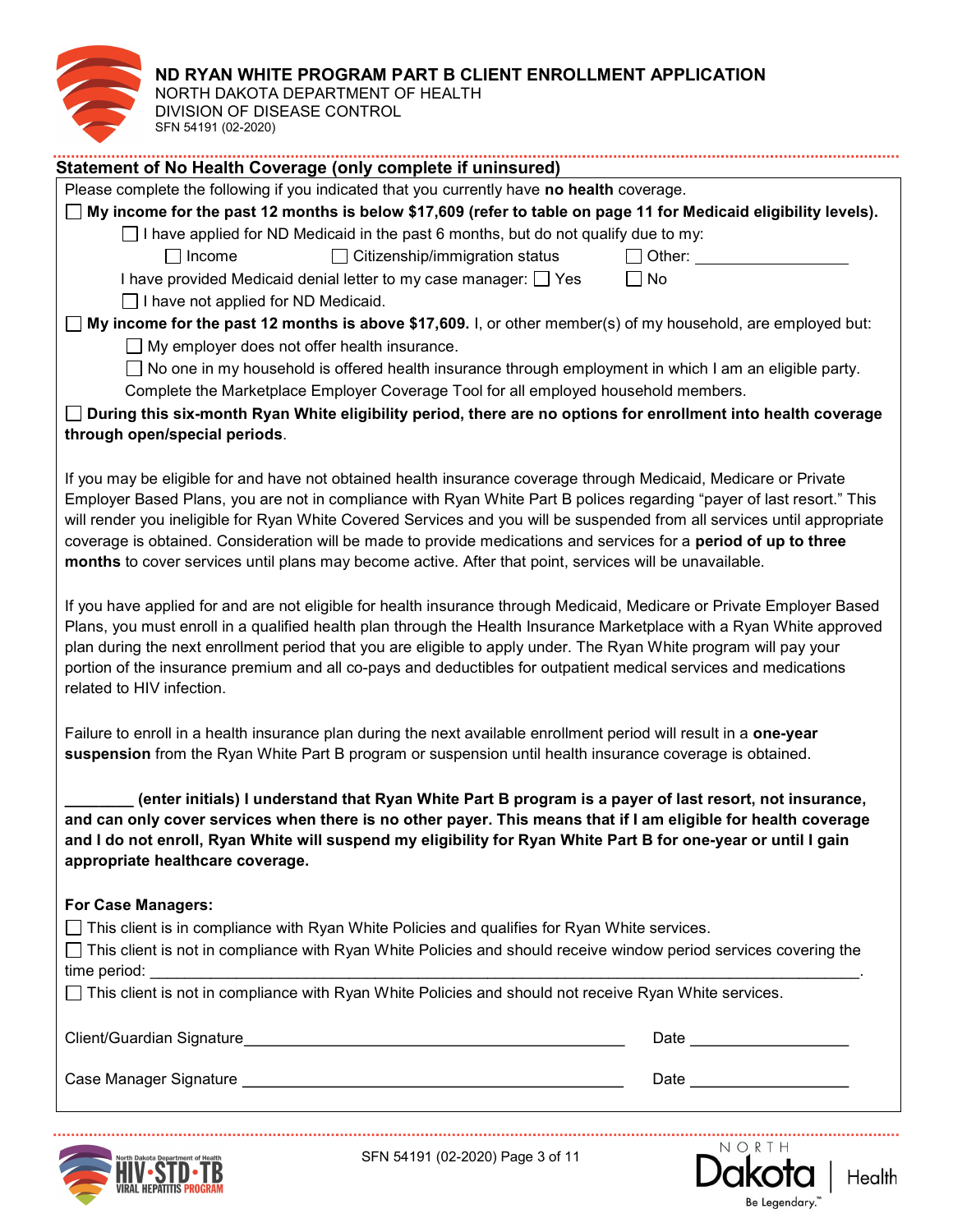NORTH DAKOTA DEPARTMENT OF HEALTH DIVISION OF DISEASE CONTROL SFN 54191 (02-2020)

| Statement of No Health Coverage (only complete if uninsured)                                                                                                                                                                                      |                               |  |  |  |
|---------------------------------------------------------------------------------------------------------------------------------------------------------------------------------------------------------------------------------------------------|-------------------------------|--|--|--|
| Please complete the following if you indicated that you currently have no health coverage.                                                                                                                                                        |                               |  |  |  |
| $\Box$ My income for the past 12 months is below \$17,609 (refer to table on page 11 for Medicaid eligibility levels).                                                                                                                            |                               |  |  |  |
| $\Box$ I have applied for ND Medicaid in the past 6 months, but do not qualify due to my:                                                                                                                                                         |                               |  |  |  |
| $\Box$ Citizenship/immigration status<br>$\Box$ Income                                                                                                                                                                                            |                               |  |  |  |
| I have provided Medicaid denial letter to my case manager: $\Box$ Yes                                                                                                                                                                             | No<br>$\mathsf{L}$            |  |  |  |
| $\Box$ I have not applied for ND Medicaid.                                                                                                                                                                                                        |                               |  |  |  |
| $\Box$ My income for the past 12 months is above \$17,609. I, or other member(s) of my household, are employed but:                                                                                                                               |                               |  |  |  |
| $\Box$ My employer does not offer health insurance.                                                                                                                                                                                               |                               |  |  |  |
| □ No one in my household is offered health insurance through employment in which I am an eligible party.                                                                                                                                          |                               |  |  |  |
| Complete the Marketplace Employer Coverage Tool for all employed household members.                                                                                                                                                               |                               |  |  |  |
| During this six-month Ryan White eligibility period, there are no options for enrollment into health coverage                                                                                                                                     |                               |  |  |  |
| through open/special periods.                                                                                                                                                                                                                     |                               |  |  |  |
|                                                                                                                                                                                                                                                   |                               |  |  |  |
| If you may be eligible for and have not obtained health insurance coverage through Medicaid, Medicare or Private                                                                                                                                  |                               |  |  |  |
| Employer Based Plans, you are not in compliance with Ryan White Part B polices regarding "payer of last resort." This<br>will render you ineligible for Ryan White Covered Services and you will be suspended from all services until appropriate |                               |  |  |  |
| coverage is obtained. Consideration will be made to provide medications and services for a period of up to three                                                                                                                                  |                               |  |  |  |
| months to cover services until plans may become active. After that point, services will be unavailable.                                                                                                                                           |                               |  |  |  |
|                                                                                                                                                                                                                                                   |                               |  |  |  |
| If you have applied for and are not eligible for health insurance through Medicaid, Medicare or Private Employer Based<br>Plans, you must enroll in a qualified health plan through the Health Insurance Marketplace with a Ryan White approved   |                               |  |  |  |
| plan during the next enrollment period that you are eligible to apply under. The Ryan White program will pay your                                                                                                                                 |                               |  |  |  |
| portion of the insurance premium and all co-pays and deductibles for outpatient medical services and medications<br>related to HIV infection.                                                                                                     |                               |  |  |  |
|                                                                                                                                                                                                                                                   |                               |  |  |  |
| Failure to enroll in a health insurance plan during the next available enrollment period will result in a one-year                                                                                                                                |                               |  |  |  |
| suspension from the Ryan White Part B program or suspension until health insurance coverage is obtained.                                                                                                                                          |                               |  |  |  |
|                                                                                                                                                                                                                                                   |                               |  |  |  |
| (enter initials) I understand that Ryan White Part B program is a payer of last resort, not insurance,                                                                                                                                            |                               |  |  |  |
| and can only cover services when there is no other payer. This means that if I am eligible for health coverage                                                                                                                                    |                               |  |  |  |
| and I do not enroll, Ryan White will suspend my eligibility for Ryan White Part B for one-year or until I gain                                                                                                                                    |                               |  |  |  |
| appropriate healthcare coverage.                                                                                                                                                                                                                  |                               |  |  |  |
|                                                                                                                                                                                                                                                   |                               |  |  |  |
| <b>For Case Managers:</b>                                                                                                                                                                                                                         |                               |  |  |  |
| $\Box$ This client is in compliance with Ryan White Policies and qualifies for Ryan White services.                                                                                                                                               |                               |  |  |  |
| $\Box$ This client is not in compliance with Ryan White Policies and should receive window period services covering the                                                                                                                           |                               |  |  |  |
|                                                                                                                                                                                                                                                   |                               |  |  |  |
| $\Box$ This client is not in compliance with Ryan White Policies and should not receive Ryan White services.                                                                                                                                      |                               |  |  |  |
|                                                                                                                                                                                                                                                   |                               |  |  |  |
|                                                                                                                                                                                                                                                   |                               |  |  |  |
|                                                                                                                                                                                                                                                   | Date ________________________ |  |  |  |
|                                                                                                                                                                                                                                                   |                               |  |  |  |
|                                                                                                                                                                                                                                                   |                               |  |  |  |



SFN 54191 (02-2020) Page 3 of 11

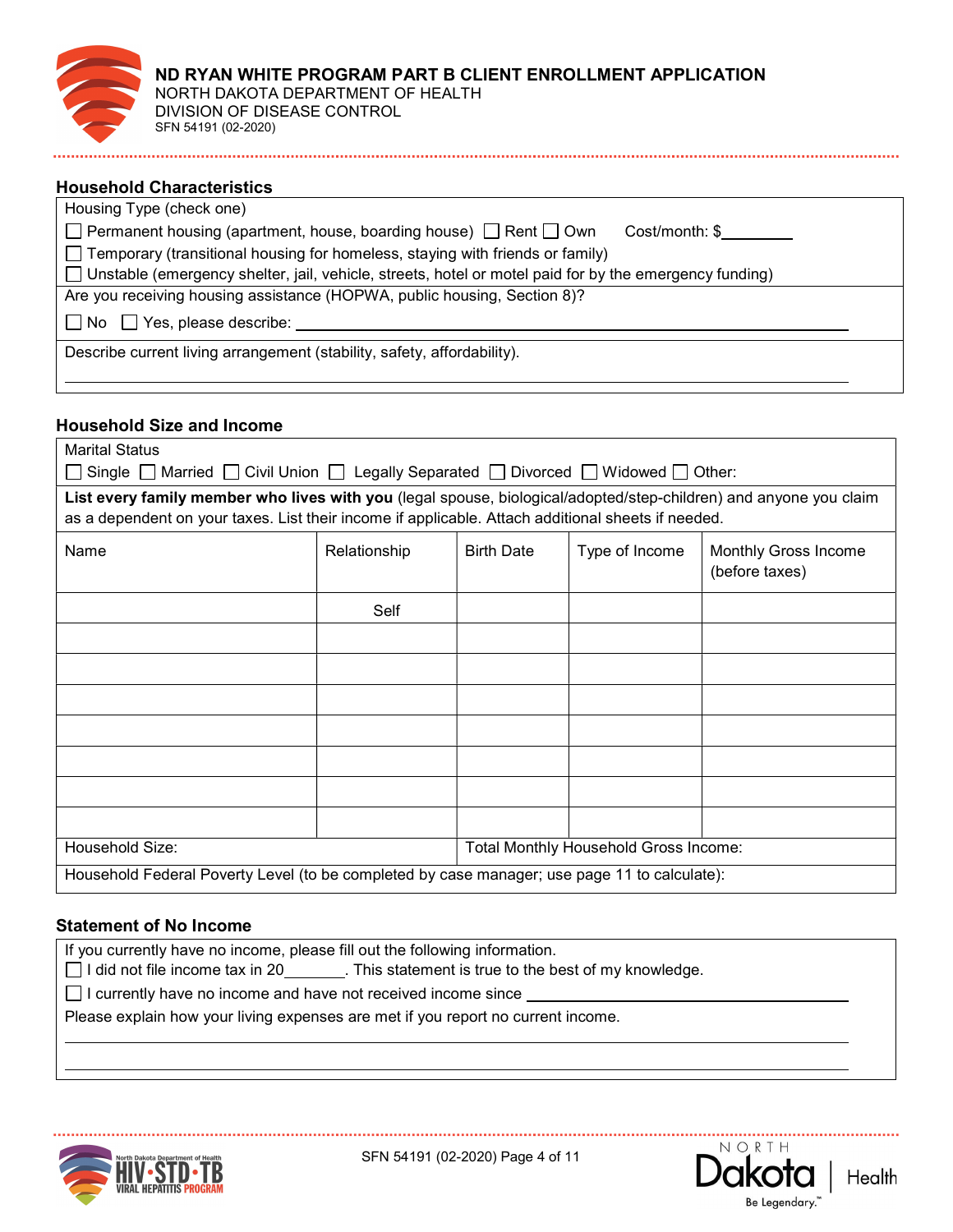| ND RYAN WHITE PROGRAM PART B CLIENT ENROLLMENT APPLICATION<br>NORTH DAKOTA DEPARTMENT OF HEALTH<br>DIVISION OF DISEASE CONTROL<br>SFN 54191 (02-2020) |  |  |
|-------------------------------------------------------------------------------------------------------------------------------------------------------|--|--|
|-------------------------------------------------------------------------------------------------------------------------------------------------------|--|--|

### Household Characteristics

| Housing Type (check one)                                                                                 |  |
|----------------------------------------------------------------------------------------------------------|--|
| $\Box$ Permanent housing (apartment, house, boarding house) $\Box$ Rent $\Box$ Own<br>Cost/month: \$     |  |
| $\Box$ Temporary (transitional housing for homeless, staying with friends or family)                     |  |
| □ Unstable (emergency shelter, jail, vehicle, streets, hotel or motel paid for by the emergency funding) |  |
| Are you receiving housing assistance (HOPWA, public housing, Section 8)?                                 |  |
| $\Box$ No $\Box$ Yes, please describe:                                                                   |  |
| Describe current living arrangement (stability, safety, affordability).                                  |  |
|                                                                                                          |  |

### Household Size and Income

| <b>Marital Status</b>                                                                                             |              |                   |                                       |                                        |  |
|-------------------------------------------------------------------------------------------------------------------|--------------|-------------------|---------------------------------------|----------------------------------------|--|
| Single $\Box$ Married $\Box$ Civil Union $\Box$ Legally Separated $\Box$ Divorced $\Box$ Widowed $\Box$ Other:    |              |                   |                                       |                                        |  |
| List every family member who lives with you (legal spouse, biological/adopted/step-children) and anyone you claim |              |                   |                                       |                                        |  |
| as a dependent on your taxes. List their income if applicable. Attach additional sheets if needed.                |              |                   |                                       |                                        |  |
| Name                                                                                                              | Relationship | <b>Birth Date</b> | Type of Income                        | Monthly Gross Income<br>(before taxes) |  |
|                                                                                                                   | Self         |                   |                                       |                                        |  |
|                                                                                                                   |              |                   |                                       |                                        |  |
|                                                                                                                   |              |                   |                                       |                                        |  |
|                                                                                                                   |              |                   |                                       |                                        |  |
|                                                                                                                   |              |                   |                                       |                                        |  |
|                                                                                                                   |              |                   |                                       |                                        |  |
|                                                                                                                   |              |                   |                                       |                                        |  |
|                                                                                                                   |              |                   |                                       |                                        |  |
| Household Size:                                                                                                   |              |                   | Total Monthly Household Gross Income: |                                        |  |
| Household Federal Poverty Level (to be completed by case manager; use page 11 to calculate):                      |              |                   |                                       |                                        |  |

#### Statement of No Income

If you currently have no income, please fill out the following information.

 $\Box$  I did not file income tax in 20  $\Box$ . This statement is true to the best of my knowledge.

 $\Box$  I currently have no income and have not received income since  $\Box$ 

Please explain how your living expenses are met if you report no current income.



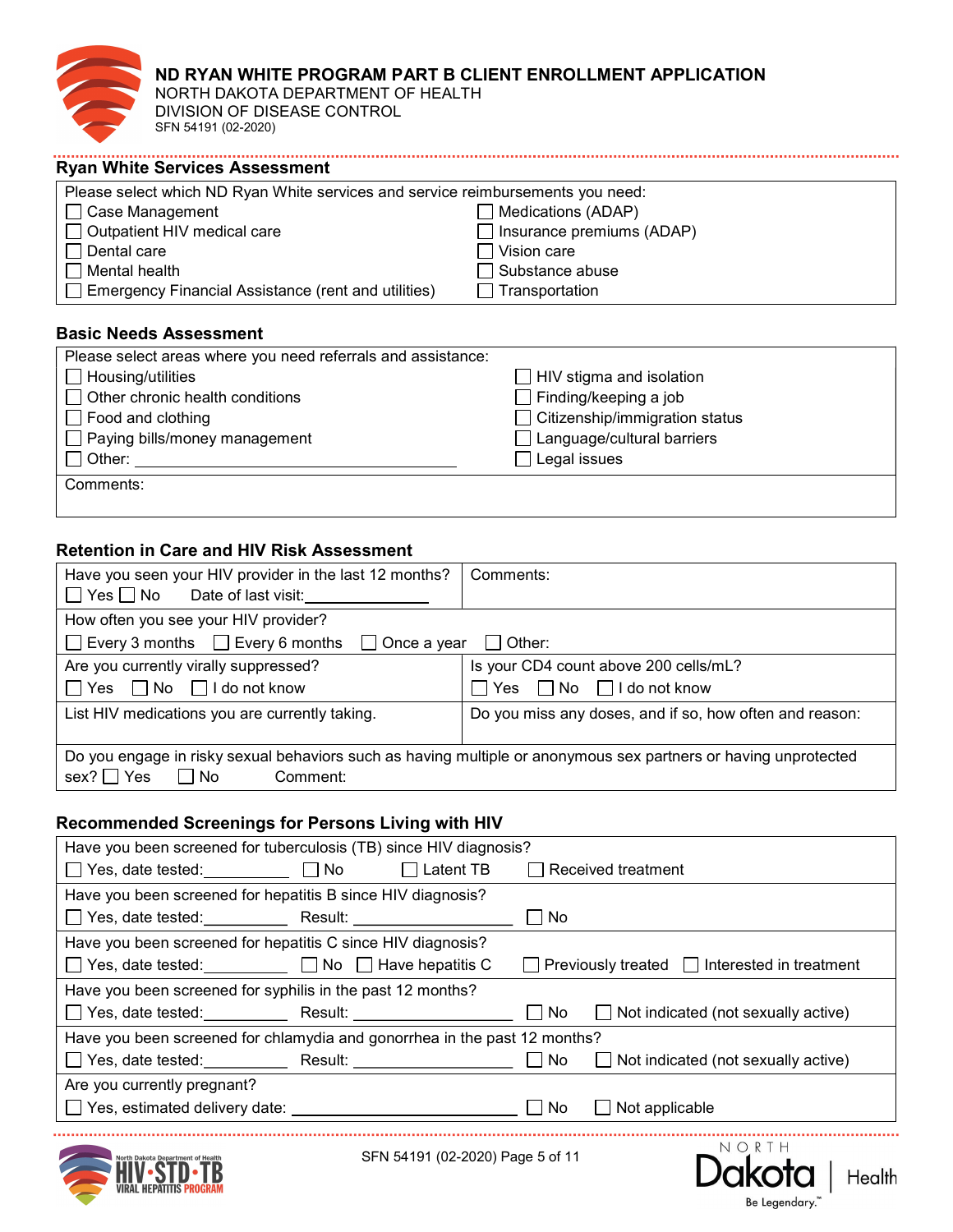

NORTH DAKOTA DEPARTMENT OF HEALTH DIVISION OF DISEASE CONTROL SFN 54191 (02-2020)

| Please select which ND Ryan White services and service reimbursements you need: |                                  |  |
|---------------------------------------------------------------------------------|----------------------------------|--|
| $\Box$ Case Management                                                          | $\Box$ Medications (ADAP)        |  |
| □ Outpatient HIV medical care                                                   | $\Box$ Insurance premiums (ADAP) |  |
| $\Box$ Dental care                                                              | $\Box$ Vision care               |  |
| $\Box$ Mental health                                                            | $\Box$ Substance abuse           |  |
| $\Box$ Emergency Financial Assistance (rent and utilities)                      | $\Box$ Transportation            |  |

## Basic Needs Assessment

| Please select areas where you need referrals and assistance: |                                       |
|--------------------------------------------------------------|---------------------------------------|
| $\Box$ Housing/utilities                                     | $\Box$ HIV stigma and isolation       |
| $\Box$ Other chronic health conditions                       | $\Box$ Finding/keeping a job          |
| $\Box$ Food and clothing                                     | $\Box$ Citizenship/immigration status |
| $\Box$ Paying bills/money management                         | $\Box$ Language/cultural barriers     |
| $\Box$ Other:                                                | $\Box$ Legal issues                   |
| Comments:                                                    |                                       |
|                                                              |                                       |

# Retention in Care and HIV Risk Assessment

| Have you seen your HIV provider in the last 12 months?<br>$\Box$ Yes $\Box$ No<br>Date of last visit:                                                   | Comments:                                                                      |
|---------------------------------------------------------------------------------------------------------------------------------------------------------|--------------------------------------------------------------------------------|
| How often you see your HIV provider?<br>$\Box$ Every 3 months $\Box$ Every 6 months<br>$\Box$ Once a year                                               | $\vert$ $\vert$ Other:                                                         |
| Are you currently virally suppressed?<br>$\Box$ No $\Box$ I do not know<br>∣∣Yes                                                                        | Is your CD4 count above 200 cells/mL?<br>$\Box$ No $\Box$ I do not know<br>Yes |
| List HIV medications you are currently taking.                                                                                                          | Do you miss any doses, and if so, how often and reason:                        |
| Do you engage in risky sexual behaviors such as having multiple or anonymous sex partners or having unprotected<br>$sex? \Box Yes$<br>Comment:<br>l INo |                                                                                |

## Recommended Screenings for Persons Living with HIV

| Have you been screened for tuberculosis (TB) since HIV diagnosis?                                                                                                                                                                   |  |                                                          |  |
|-------------------------------------------------------------------------------------------------------------------------------------------------------------------------------------------------------------------------------------|--|----------------------------------------------------------|--|
| □ Yes, date tested: □ No □ Latent TB                                                                                                                                                                                                |  | Received treatment                                       |  |
| Have you been screened for hepatitis B since HIV diagnosis?                                                                                                                                                                         |  |                                                          |  |
|                                                                                                                                                                                                                                     |  | No                                                       |  |
| Have you been screened for hepatitis C since HIV diagnosis?                                                                                                                                                                         |  |                                                          |  |
| □ Yes, date tested: □ No □ Have hepatitis C                                                                                                                                                                                         |  | $\Box$ Previously treated $\Box$ Interested in treatment |  |
| Have you been screened for syphilis in the past 12 months?                                                                                                                                                                          |  |                                                          |  |
| □ Yes, date tested: Result: <u>Nesult: Nesult: Nesult: Nesult: Nesult: Nesult: Nesult: Nesult: Nesult: Nesult: Nesult: Nesult: Nesult: Nesult: Nesult: Nesult: Nesult: Nesult: Nesult: Nesult: Nesult: Nesult: Nesult: Nesult: </u> |  | $\Box$ Not indicated (not sexually active)<br>l INo      |  |
| Have you been screened for chlamydia and gonorrhea in the past 12 months?                                                                                                                                                           |  |                                                          |  |
|                                                                                                                                                                                                                                     |  | ∣∣No<br>$\Box$ Not indicated (not sexually active)       |  |
| Are you currently pregnant?                                                                                                                                                                                                         |  |                                                          |  |
| $\Box$ Yes, estimated delivery date:                                                                                                                                                                                                |  | ∣ No<br>Not applicable                                   |  |
|                                                                                                                                                                                                                                     |  |                                                          |  |



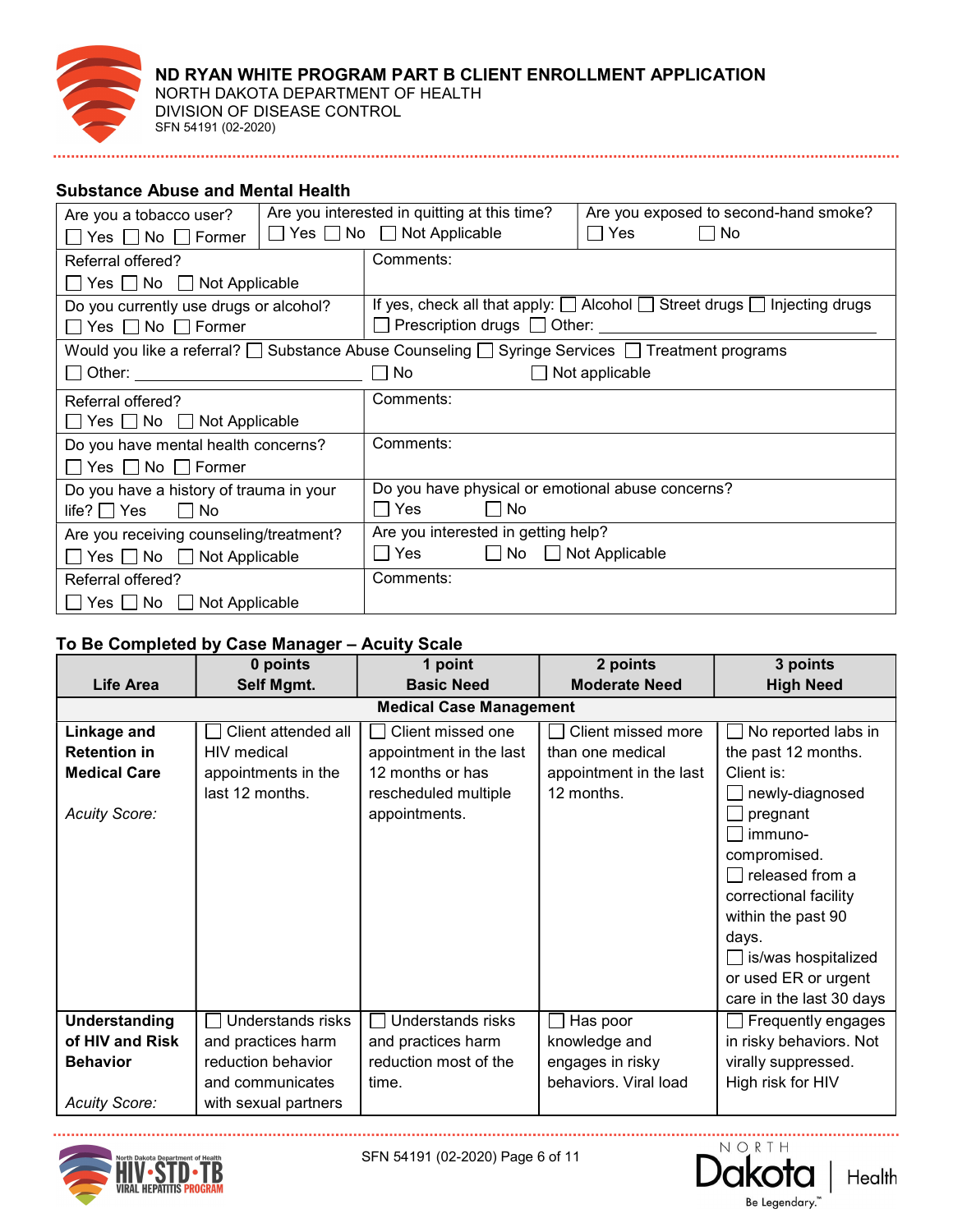

NORTH DAKOTA DEPARTMENT OF HEALTH DIVISION OF DISEASE CONTROL SFN 54191 (02-2020)

## Substance Abuse and Mental Health

| Are you a tobacco user?                    | Are you interested in quitting at this time? |                                                              | Are you exposed to second-hand smoke?                                                   |                                                                                                 |  |
|--------------------------------------------|----------------------------------------------|--------------------------------------------------------------|-----------------------------------------------------------------------------------------|-------------------------------------------------------------------------------------------------|--|
| $\Box$ Yes $\Box$ No $\Box$ Former         |                                              | $\Box$ Yes $\Box$ No $\Box$ Not Applicable<br>l IYes<br>  No |                                                                                         |                                                                                                 |  |
| Referral offered?                          |                                              | Comments:                                                    |                                                                                         |                                                                                                 |  |
| $\Box$ Yes $\Box$ No $\Box$ Not Applicable |                                              |                                                              |                                                                                         |                                                                                                 |  |
| Do you currently use drugs or alcohol?     |                                              |                                                              | If yes, check all that apply: $\Box$ Alcohol $\Box$ Street drugs $\Box$ Injecting drugs |                                                                                                 |  |
| $\Box$ Yes $\Box$ No $\Box$ Former         |                                              |                                                              |                                                                                         |                                                                                                 |  |
|                                            |                                              |                                                              |                                                                                         | Would you like a referral? □ Substance Abuse Counseling □ Syringe Services □ Treatment programs |  |
| □ Other: ______________________________    |                                              | $\Box$ No $\Box$                                             |                                                                                         | $\Box$ Not applicable                                                                           |  |
| Referral offered?                          |                                              | Comments:                                                    |                                                                                         |                                                                                                 |  |
| $\Box$ Yes $\Box$ No $\Box$ Not Applicable |                                              |                                                              |                                                                                         |                                                                                                 |  |
| Do you have mental health concerns?        |                                              | Comments:                                                    |                                                                                         |                                                                                                 |  |
| $\Box$ Yes $\Box$ No $\Box$ Former         |                                              |                                                              |                                                                                         |                                                                                                 |  |
| Do you have a history of trauma in your    |                                              | Do you have physical or emotional abuse concerns?            |                                                                                         |                                                                                                 |  |
| life? $\Box$ Yes $\Box$ No                 |                                              | $\Box$ No                                                    |                                                                                         |                                                                                                 |  |
| Are you receiving counseling/treatment?    |                                              | Are you interested in getting help?                          |                                                                                         |                                                                                                 |  |
| $\Box$ Yes $\Box$ No $\Box$ Not Applicable |                                              | $\Box$ Yes $\Box$ No $\Box$ Not Applicable                   |                                                                                         |                                                                                                 |  |
| Referral offered?                          |                                              | Comments:                                                    |                                                                                         |                                                                                                 |  |
| $\Box$ Yes $\Box$ No $\Box$ Not Applicable |                                              |                                                              |                                                                                         |                                                                                                 |  |

## To Be Completed by Case Manager – Acuity Scale

|                      | 0 points             | 1 point                               | 2 points                | 3 points                                                                                                                                                                                                                                          |
|----------------------|----------------------|---------------------------------------|-------------------------|---------------------------------------------------------------------------------------------------------------------------------------------------------------------------------------------------------------------------------------------------|
| <b>Life Area</b>     | Self Mgmt.           | <b>Basic Need</b>                     | <b>Moderate Need</b>    | <b>High Need</b>                                                                                                                                                                                                                                  |
|                      |                      | <b>Medical Case Management</b>        |                         |                                                                                                                                                                                                                                                   |
| Linkage and          | Client attended all  | Client missed one                     | Client missed more      | No reported labs in<br>$\Box$                                                                                                                                                                                                                     |
| <b>Retention in</b>  | HIV medical          | appointment in the last               | than one medical        | the past 12 months.                                                                                                                                                                                                                               |
| <b>Medical Care</b>  | appointments in the  | 12 months or has                      | appointment in the last | Client is:                                                                                                                                                                                                                                        |
| <b>Acuity Score:</b> | last 12 months.      | rescheduled multiple<br>appointments. | 12 months.              | newly-diagnosed<br>pregnant<br>$\mathsf{L}$<br>$\Box$ immuno-<br>compromised.<br>$\Box$ released from a<br>correctional facility<br>within the past 90<br>days.<br>$\Box$ is/was hospitalized<br>or used ER or urgent<br>care in the last 30 days |
| Understanding        | Understands risks    | Understands risks                     | Has poor                | Frequently engages                                                                                                                                                                                                                                |
| of HIV and Risk      | and practices harm   | and practices harm                    | knowledge and           | in risky behaviors. Not                                                                                                                                                                                                                           |
| <b>Behavior</b>      | reduction behavior   | reduction most of the                 | engages in risky        | virally suppressed.                                                                                                                                                                                                                               |
|                      | and communicates     | time.                                 | behaviors. Viral load   | High risk for HIV                                                                                                                                                                                                                                 |
| <b>Acuity Score:</b> | with sexual partners |                                       |                         |                                                                                                                                                                                                                                                   |



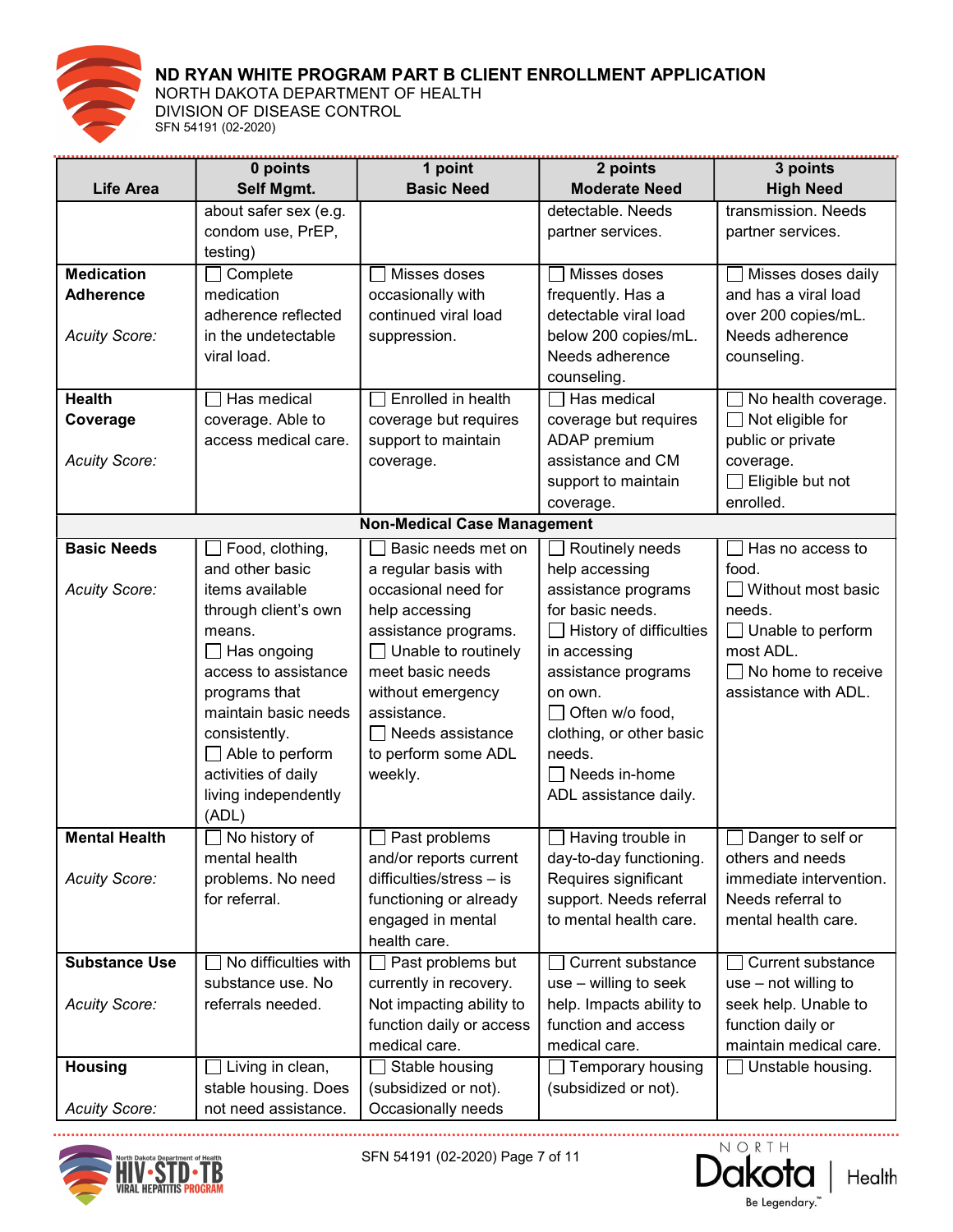

NORTH DAKOTA DEPARTMENT OF HEALTH DIVISION OF DISEASE CONTROL SFN 54191 (02-2020)

|                      | 0 points                                  | 1 point                                     | 2 points                              | 3 points                             |
|----------------------|-------------------------------------------|---------------------------------------------|---------------------------------------|--------------------------------------|
| <b>Life Area</b>     | Self Mgmt.                                | <b>Basic Need</b>                           | <b>Moderate Need</b>                  | <b>High Need</b>                     |
|                      | about safer sex (e.g.                     |                                             | detectable. Needs                     | transmission. Needs                  |
|                      | condom use, PrEP,                         |                                             | partner services.                     | partner services.                    |
|                      | testing)                                  |                                             |                                       |                                      |
| <b>Medication</b>    | Complete                                  | Misses doses                                | Misses doses                          | Misses doses daily                   |
| <b>Adherence</b>     | medication                                | occasionally with                           | frequently. Has a                     | and has a viral load                 |
|                      | adherence reflected                       | continued viral load                        | detectable viral load                 | over 200 copies/mL.                  |
| <b>Acuity Score:</b> | in the undetectable                       | suppression.                                | below 200 copies/mL.                  | Needs adherence                      |
|                      | viral load.                               |                                             | Needs adherence                       | counseling.                          |
|                      |                                           |                                             | counseling.                           |                                      |
| <b>Health</b>        | Has medical                               | Enrolled in health                          | $\sqcap$ Has medical                  | No health coverage.                  |
| Coverage             | coverage. Able to<br>access medical care. | coverage but requires                       | coverage but requires                 | Not eligible for                     |
|                      |                                           | support to maintain                         | ADAP premium<br>assistance and CM     | public or private                    |
| <b>Acuity Score:</b> |                                           | coverage.                                   | support to maintain                   | coverage.<br>$\Box$ Eligible but not |
|                      |                                           |                                             | coverage.                             | enrolled.                            |
|                      |                                           | <b>Non-Medical Case Management</b>          |                                       |                                      |
| <b>Basic Needs</b>   |                                           |                                             |                                       | Has no access to                     |
|                      | Food, clothing,<br>and other basic        | Basic needs met on                          | Routinely needs                       | food.                                |
| <b>Acuity Score:</b> | items available                           | a regular basis with<br>occasional need for | help accessing<br>assistance programs | $\Box$ Without most basic            |
|                      | through client's own                      | help accessing                              | for basic needs.                      | needs.                               |
|                      | means.                                    | assistance programs.                        | $\Box$ History of difficulties        | $\Box$ Unable to perform             |
|                      | $\Box$ Has ongoing                        | Unable to routinely                         | in accessing                          | most ADL.                            |
|                      | access to assistance                      | meet basic needs                            | assistance programs                   | $\Box$ No home to receive            |
|                      | programs that                             | without emergency                           | on own.                               | assistance with ADL.                 |
|                      | maintain basic needs                      | assistance.                                 | $\Box$ Often w/o food,                |                                      |
|                      | consistently.                             | $\Box$ Needs assistance                     | clothing, or other basic              |                                      |
|                      | $\Box$ Able to perform                    | to perform some ADL                         | needs.                                |                                      |
|                      | activities of daily                       | weekly.                                     | Needs in-home                         |                                      |
|                      | living independently                      |                                             | ADL assistance daily.                 |                                      |
|                      | (ADL)                                     |                                             |                                       |                                      |
| <b>Mental Health</b> | $\Box$ No history of                      | Past problems                               | Having trouble in                     | Danger to self or                    |
|                      | mental health                             | and/or reports current                      | day-to-day functioning.               | others and needs                     |
| <b>Acuity Score:</b> | problems. No need                         | difficulties/stress - is                    | Requires significant                  | immediate intervention.              |
|                      | for referral.                             | functioning or already                      | support. Needs referral               | Needs referral to                    |
|                      |                                           | engaged in mental                           | to mental health care.                | mental health care.                  |
|                      |                                           | health care.                                |                                       |                                      |
| <b>Substance Use</b> | No difficulties with                      | Past problems but                           | <b>Current substance</b>              | <b>Current substance</b>             |
|                      | substance use. No                         | currently in recovery.                      | use - willing to seek                 | $use - not willing to$               |
| <b>Acuity Score:</b> | referrals needed.                         | Not impacting ability to                    | help. Impacts ability to              | seek help. Unable to                 |
|                      |                                           | function daily or access                    | function and access                   | function daily or                    |
|                      |                                           | medical care.                               | medical care.                         | maintain medical care.               |
| <b>Housing</b>       | Living in clean,                          | Stable housing                              | Temporary housing                     | Unstable housing.                    |
|                      | stable housing. Does                      | (subsidized or not).                        | (subsidized or not).                  |                                      |
| <b>Acuity Score:</b> | not need assistance.                      | Occasionally needs                          |                                       |                                      |



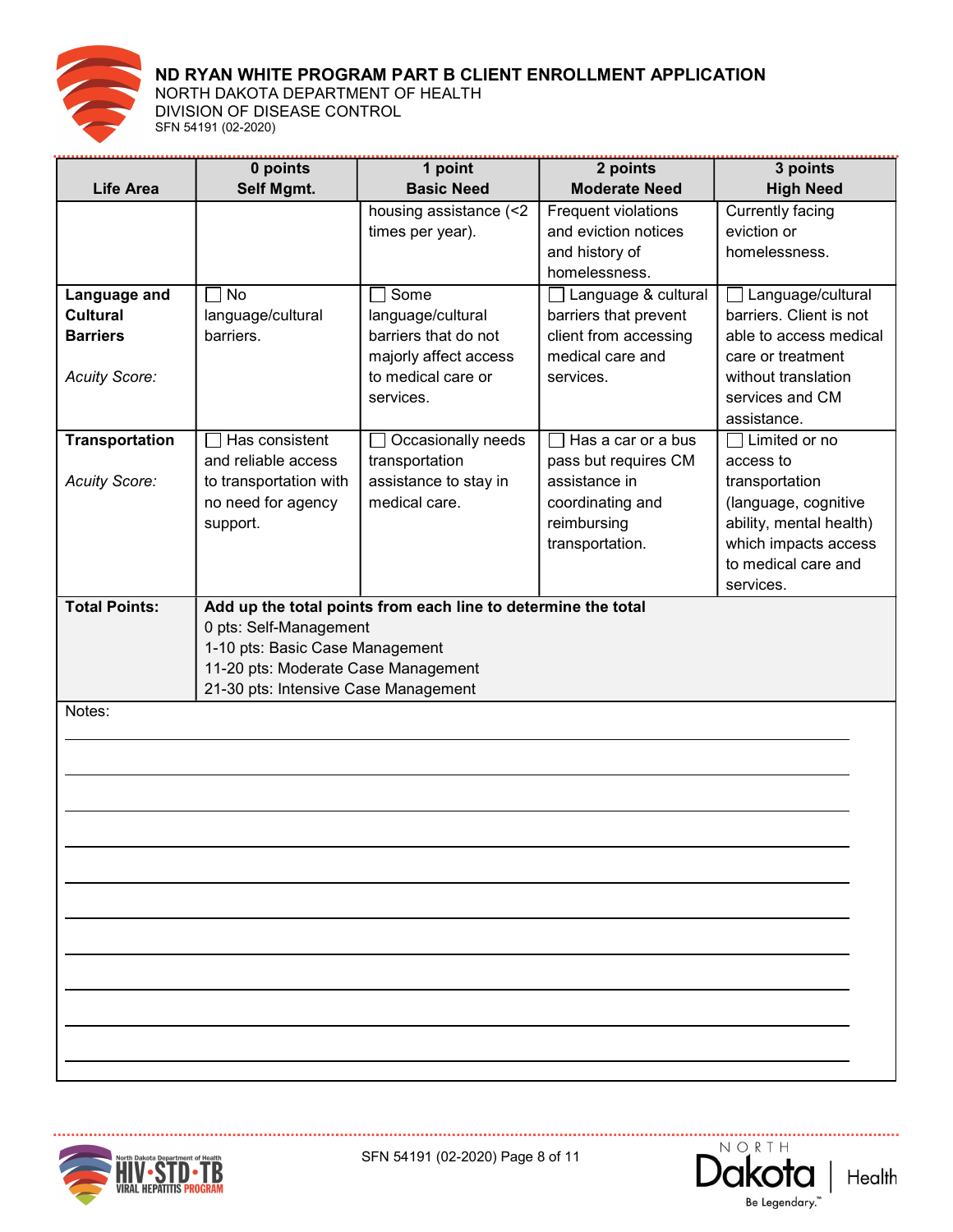

NORTH DAKOTA DEPARTMENT OF HEALTH DIVISION OF DISEASE CONTROL SFN 54191 (02-2020)

|                                 | 0 points                             | 1 point                                                       | 2 points                                     | 3 points                                            |
|---------------------------------|--------------------------------------|---------------------------------------------------------------|----------------------------------------------|-----------------------------------------------------|
| <b>Life Area</b>                | Self Mgmt.                           | <b>Basic Need</b>                                             | <b>Moderate Need</b>                         | <b>High Need</b>                                    |
|                                 |                                      | housing assistance (<2                                        | Frequent violations                          | Currently facing                                    |
|                                 |                                      | times per year).                                              | and eviction notices                         | eviction or                                         |
|                                 |                                      |                                                               | and history of                               | homelessness.                                       |
|                                 | <b>No</b>                            | Some                                                          | homelessness.                                |                                                     |
| Language and<br><b>Cultural</b> | language/cultural                    | language/cultural                                             | Language & cultural<br>barriers that prevent | $\Box$ Language/cultural<br>barriers. Client is not |
| <b>Barriers</b>                 | barriers.                            | barriers that do not                                          | client from accessing                        | able to access medical                              |
|                                 |                                      | majorly affect access                                         | medical care and                             | care or treatment                                   |
| <b>Acuity Score:</b>            |                                      | to medical care or                                            | services.                                    | without translation                                 |
|                                 |                                      | services.                                                     |                                              | services and CM                                     |
|                                 |                                      |                                                               |                                              | assistance.                                         |
| <b>Transportation</b>           | Has consistent                       | Occasionally needs                                            | Has a car or a bus                           | $\Box$ Limited or no                                |
|                                 | and reliable access                  | transportation                                                | pass but requires CM                         | access to                                           |
| <b>Acuity Score:</b>            | to transportation with               | assistance to stay in                                         | assistance in                                | transportation                                      |
|                                 | no need for agency                   | medical care.                                                 | coordinating and                             | (language, cognitive                                |
|                                 | support.                             |                                                               | reimbursing                                  | ability, mental health)                             |
|                                 |                                      |                                                               | transportation.                              | which impacts access<br>to medical care and         |
|                                 |                                      |                                                               |                                              | services.                                           |
| <b>Total Points:</b>            |                                      | Add up the total points from each line to determine the total |                                              |                                                     |
|                                 | 0 pts: Self-Management               |                                                               |                                              |                                                     |
|                                 | 1-10 pts: Basic Case Management      |                                                               |                                              |                                                     |
|                                 | 11-20 pts: Moderate Case Management  |                                                               |                                              |                                                     |
|                                 | 21-30 pts: Intensive Case Management |                                                               |                                              |                                                     |
| Notes:                          |                                      |                                                               |                                              |                                                     |
|                                 |                                      |                                                               |                                              |                                                     |
|                                 |                                      |                                                               |                                              |                                                     |
|                                 |                                      |                                                               |                                              |                                                     |
|                                 |                                      |                                                               |                                              |                                                     |
|                                 |                                      |                                                               |                                              |                                                     |
|                                 |                                      |                                                               |                                              |                                                     |
|                                 |                                      |                                                               |                                              |                                                     |
|                                 |                                      |                                                               |                                              |                                                     |
|                                 |                                      |                                                               |                                              |                                                     |
|                                 |                                      |                                                               |                                              |                                                     |
|                                 |                                      |                                                               |                                              |                                                     |
|                                 |                                      |                                                               |                                              |                                                     |
|                                 |                                      |                                                               |                                              |                                                     |
|                                 |                                      |                                                               |                                              |                                                     |
|                                 |                                      |                                                               |                                              |                                                     |



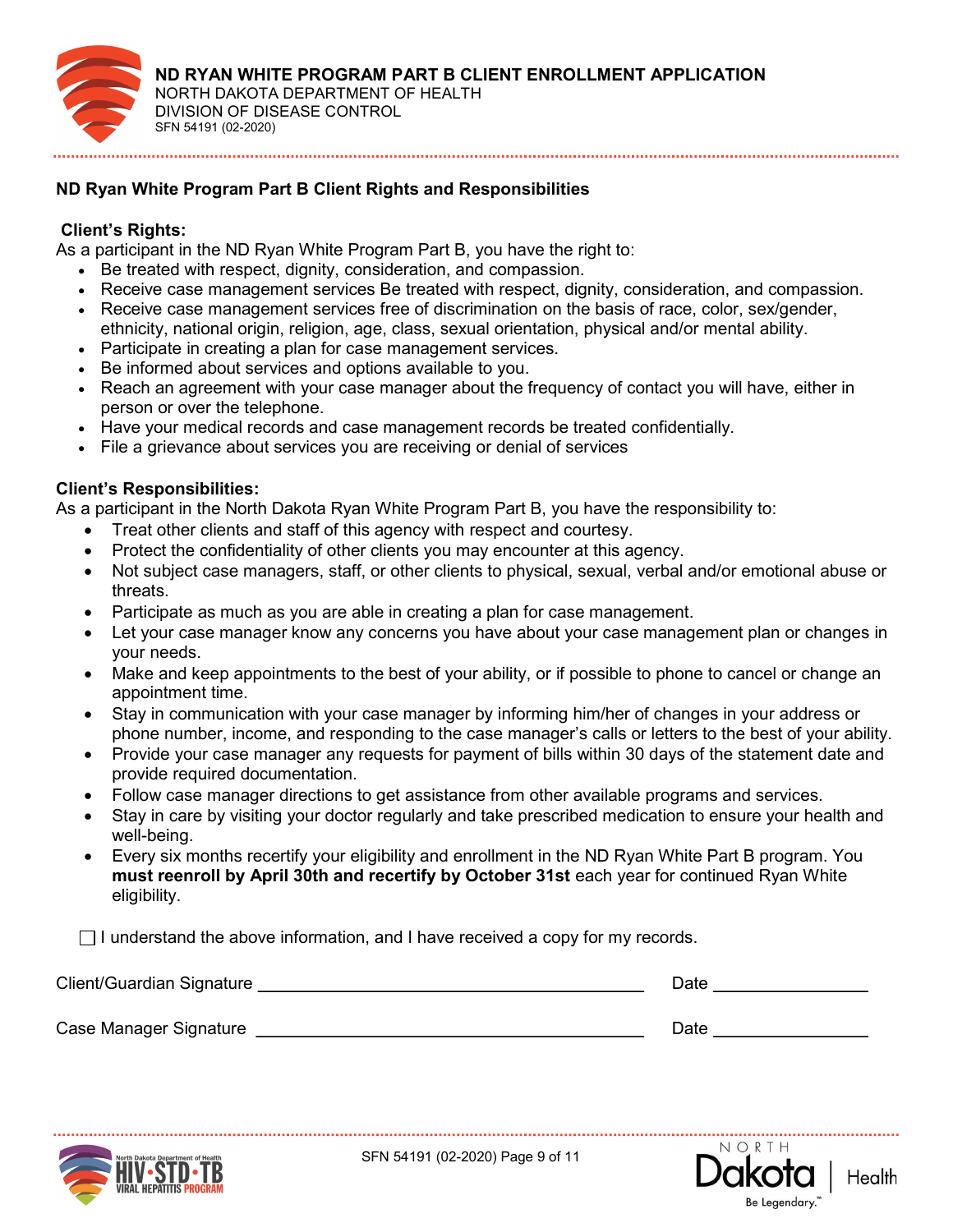

## ND Ryan White Program Part B Client Rights and Responsibilities

### Client's Rights:

As a participant in the ND Ryan White Program Part B, you have the right to:

- Be treated with respect, dignity, consideration, and compassion.
- Receive case management services Be treated with respect, dignity, consideration, and compassion.
- Receive case management services free of discrimination on the basis of race, color, sex/gender, ethnicity, national origin, religion, age, class, sexual orientation, physical and/or mental ability.
- Participate in creating a plan for case management services.
- Be informed about services and options available to you.
- Reach an agreement with your case manager about the frequency of contact you will have, either in person or over the telephone.
- Have your medical records and case management records be treated confidentially.
- File a grievance about services you are receiving or denial of services

### Client's Responsibilities:

As a participant in the North Dakota Ryan White Program Part B, you have the responsibility to:

- Treat other clients and staff of this agency with respect and courtesy.
- Protect the confidentiality of other clients you may encounter at this agency.
- Not subject case managers, staff, or other clients to physical, sexual, verbal and/or emotional abuse or threats.
- Participate as much as you are able in creating a plan for case management.
- Let your case manager know any concerns you have about your case management plan or changes in your needs.
- Make and keep appointments to the best of your ability, or if possible to phone to cancel or change an appointment time.
- Stay in communication with your case manager by informing him/her of changes in your address or phone number, income, and responding to the case manager's calls or letters to the best of your ability.
- Provide your case manager any requests for payment of bills within 30 days of the statement date and provide required documentation.
- Follow case manager directions to get assistance from other available programs and services.
- Stay in care by visiting your doctor regularly and take prescribed medication to ensure your health and well-being.
- Every six months recertify your eligibility and enrollment in the ND Ryan White Part B program. You must reenroll by April 30th and recertify by October 31st each year for continued Ryan White eligibility.

 $\Box$  I understand the above information, and I have received a copy for my records.

| Client/Guardian Signature | Date |
|---------------------------|------|
|                           |      |
| Case Manager Signature    | Date |



SFN 54191 (02-2020) Page 9 of 11

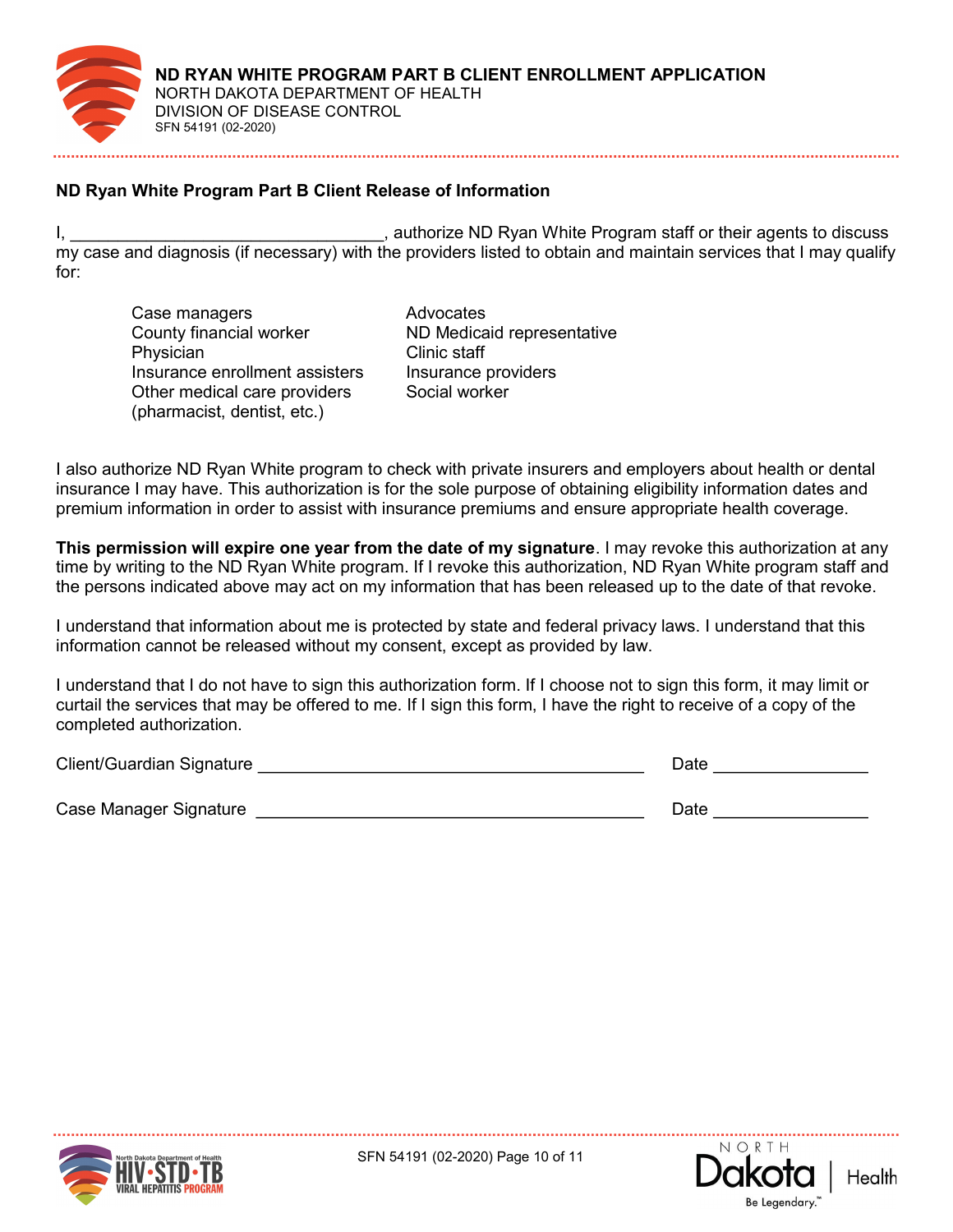

## ND Ryan White Program Part B Client Release of Information

, authorize ND Ryan White Program staff or their agents to discuss my case and diagnosis (if necessary) with the providers listed to obtain and maintain services that I may qualify for:

- Case managers **Advocates** County financial worker ND Medicaid representative Physician Clinic staff Insurance enrollment assisters Insurance providers Other medical care providers (pharmacist, dentist, etc.)
- Social worker

I also authorize ND Ryan White program to check with private insurers and employers about health or dental insurance I may have. This authorization is for the sole purpose of obtaining eligibility information dates and premium information in order to assist with insurance premiums and ensure appropriate health coverage.

This permission will expire one year from the date of my signature. I may revoke this authorization at any time by writing to the ND Ryan White program. If I revoke this authorization, ND Ryan White program staff and the persons indicated above may act on my information that has been released up to the date of that revoke.

I understand that information about me is protected by state and federal privacy laws. I understand that this information cannot be released without my consent, except as provided by law.

I understand that I do not have to sign this authorization form. If I choose not to sign this form, it may limit or curtail the services that may be offered to me. If I sign this form, I have the right to receive of a copy of the completed authorization.

| Client/Guardian Signature | Date |
|---------------------------|------|
|                           |      |
| Case Manager Signature    | Date |